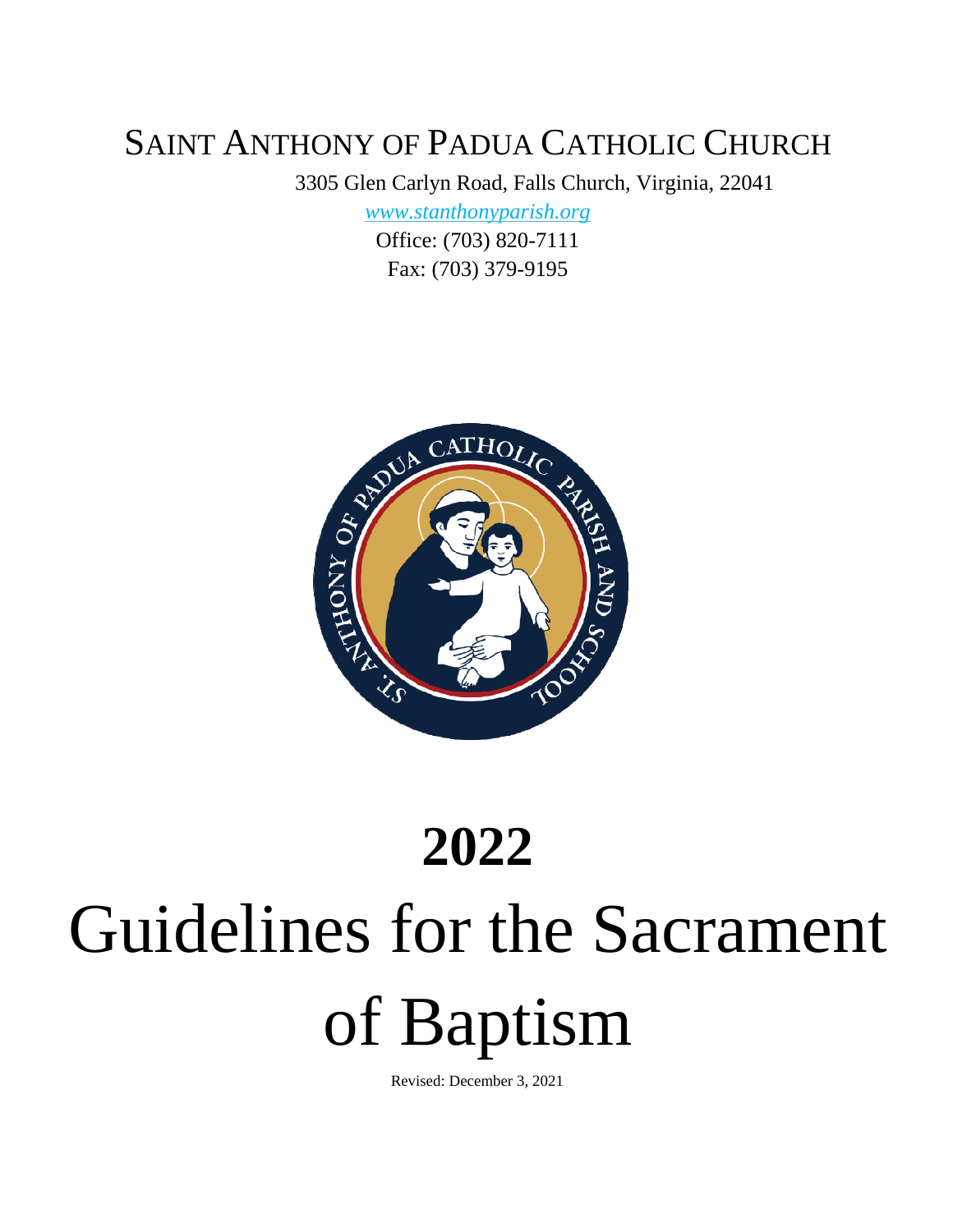## SAINT ANTHONY OF PADUA CATHOLIC CHURCH

3305 Glen Carlyn Road, Falls Church, Virginia, 22041

*[www.stanthonyparish.org](http://www.stanthonyparish.org/)*

Office: (703) 820-7111 Fax: (703) 379-9195



# **2022** Guidelines for the Sacrament of Baptism

Revised: December 3, 2021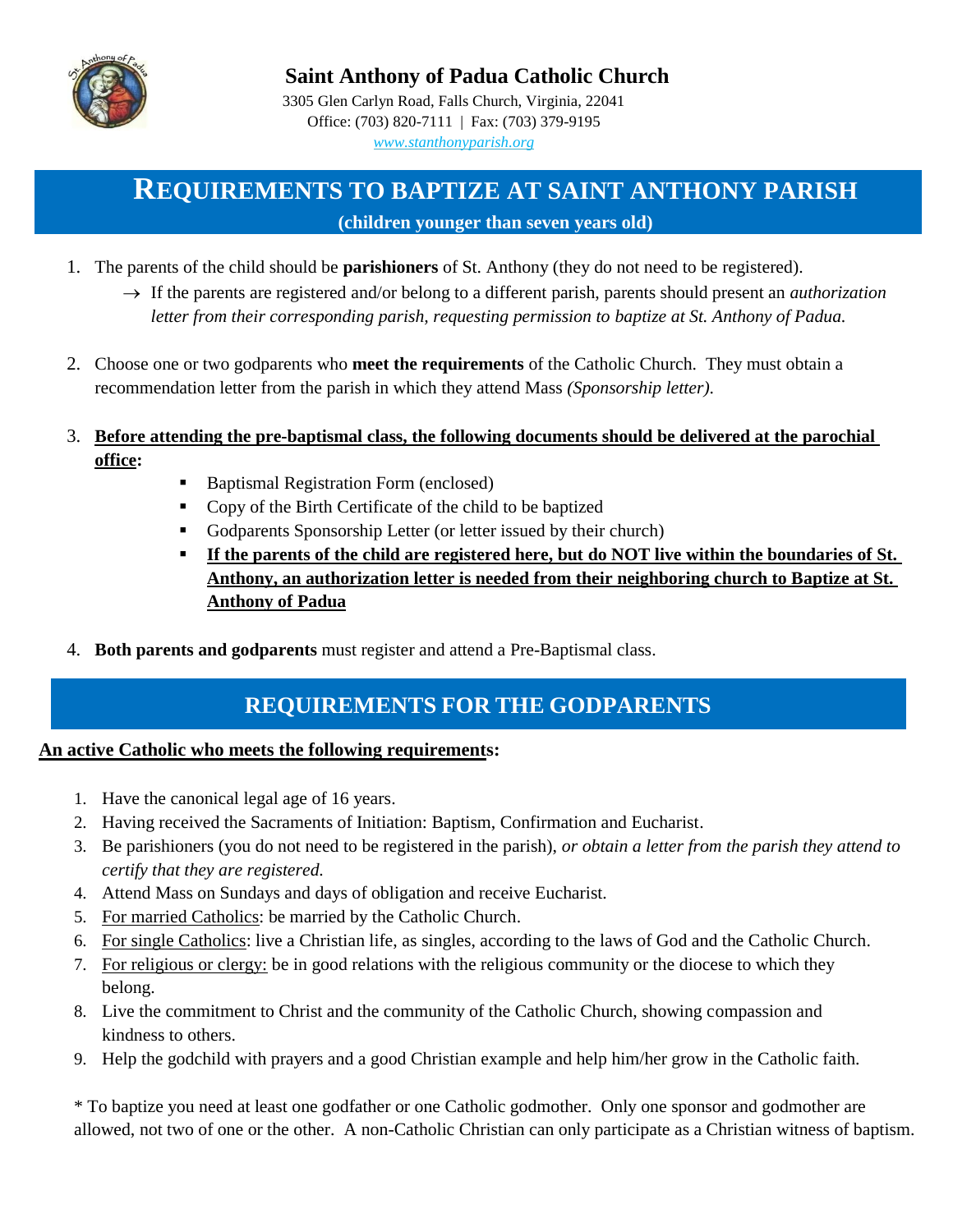

#### **Saint Anthony of Padua Catholic Church**

3305 Glen Carlyn Road, Falls Church, Virginia, 22041 Office: (703) 820-7111 | Fax: (703) 379-9195 *[www.stanthonyparish.org](http://www.stanthonyparish.org/)*

### **REQUIREMENTS TO BAPTIZE AT SAINT ANTHONY PARISH (children younger than seven years old)**

- 1. The parents of the child should be **parishioners** of St. Anthony (they do not need to be registered).
	- $\rightarrow$  If the parents are registered and/or belong to a different parish, parents should present an *authorization letter from their corresponding parish, requesting permission to baptize at St. Anthony of Padua.*
- 2. Choose one or two godparents who **meet the requirements** of the Catholic Church. They must obtain a recommendation letter from the parish in which they attend Mass *(Sponsorship letter).*
- 3. **Before attending the pre-baptismal class, the following documents should be delivered at the parochial office:** 
	- Baptismal Registration Form (enclosed)
	- Copy of the Birth Certificate of the child to be baptized
	- Godparents Sponsorship Letter (or letter issued by their church)
	- **If the parents of the child are registered here, but do NOT live within the boundaries of St. Anthony, an authorization letter is needed from their neighboring church to Baptize at St. Anthony of Padua**
- 4. **Both parents and godparents** must register and attend a Pre-Baptismal class.

### **REQUIREMENTS FOR THE GODPARENTS**

#### **An active Catholic who meets the following requirements:**

- 1. Have the canonical legal age of 16 years.
- 2. Having received the Sacraments of Initiation: Baptism, Confirmation and Eucharist.
- 3. Be parishioners (you do not need to be registered in the parish), *or obtain a letter from the parish they attend to certify that they are registered.*
- 4. Attend Mass on Sundays and days of obligation and receive Eucharist*.*
- 5. For married Catholics: be married by the Catholic Church.
- 6. For single Catholics: live a Christian life, as singles, according to the laws of God and the Catholic Church.
- 7. For religious or clergy: be in good relations with the religious community or the diocese to which they belong.
- 8. Live the commitment to Christ and the community of the Catholic Church, showing compassion and kindness to others.
- 9. Help the godchild with prayers and a good Christian example and help him/her grow in the Catholic faith.

\* To baptize you need at least one godfather or one Catholic godmother. Only one sponsor and godmother are allowed, not two of one or the other. A non-Catholic Christian can only participate as a Christian witness of baptism.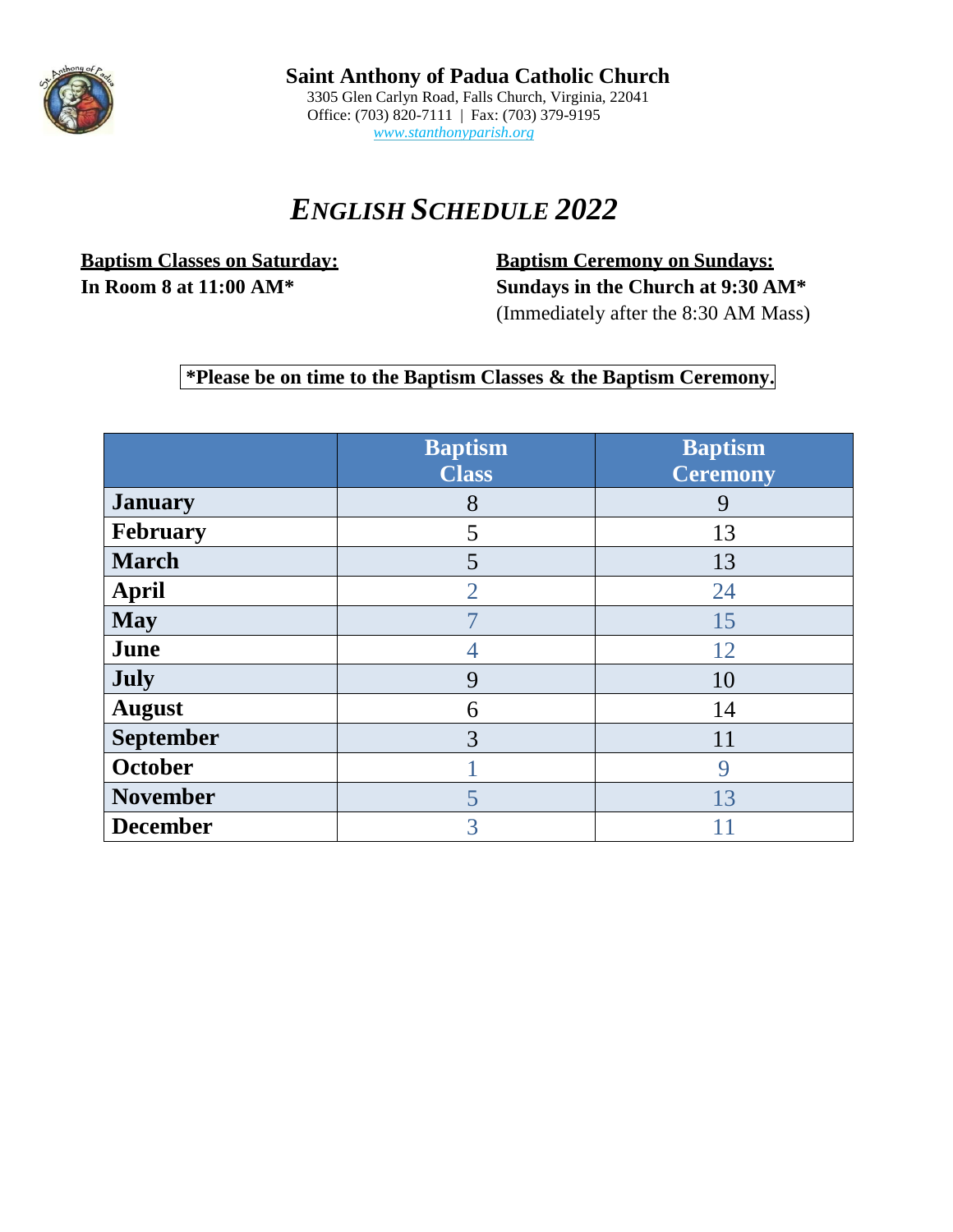

**Saint Anthony of Padua Catholic Church** 3305 Glen Carlyn Road, Falls Church, Virginia, 22041 Office: (703) 820-7111 | Fax: (703) 379-9195 *[www.stanthonyparish.org](http://www.stanthonyparish.org/)*

## *ENGLISH SCHEDULE 2022*

**Baptism Classes on Saturday: Baptism Ceremony on Sundays:**

**In Room 8 at 11:00 AM\* Sundays in the Church at 9:30 AM\*** (Immediately after the 8:30 AM Mass)

#### **\*Please be on time to the Baptism Classes & the Baptism Ceremony.**

|                  | <b>Baptism</b><br><b>Class</b> | <b>Baptism</b><br>Ceremony |
|------------------|--------------------------------|----------------------------|
| <b>January</b>   | 8                              | 9                          |
| <b>February</b>  | 5                              | 13                         |
| <b>March</b>     | 5                              | 13                         |
| <b>April</b>     | $\overline{2}$                 | 24                         |
| <b>May</b>       |                                | 15                         |
| June             | 4                              | 12                         |
| <b>July</b>      | 9                              | 10                         |
| <b>August</b>    | 6                              | 14                         |
| <b>September</b> | 3                              | 11                         |
| October          |                                | 9                          |
| <b>November</b>  | 5                              | 13                         |
| <b>December</b>  | 3                              | 11                         |